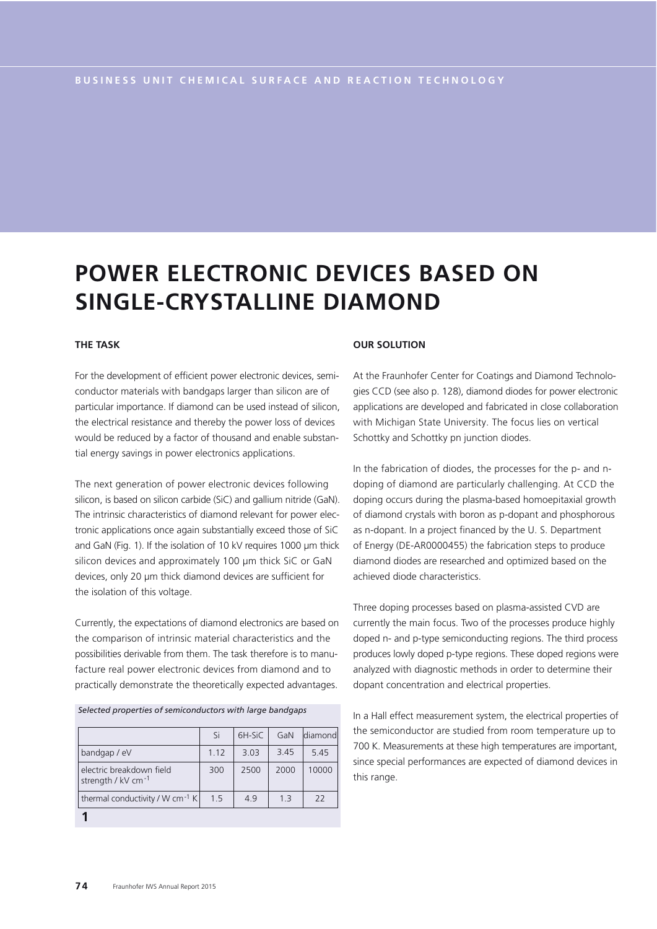# **POWER ELECTRONIC DEVICES BASED ON SINGLE-CRYSTALLINE DIAMOND**

## **THE TASK**

For the development of efficient power electronic devices, semiconductor materials with bandgaps larger than silicon are of particular importance. If diamond can be used instead of silicon, the electrical resistance and thereby the power loss of devices would be reduced by a factor of thousand and enable substantial energy savings in power electronics applications.

The next generation of power electronic devices following silicon, is based on silicon carbide (SiC) and gallium nitride (GaN). The intrinsic characteristics of diamond relevant for power electronic applications once again substantially exceed those of SiC and GaN (Fig. 1). If the isolation of 10 kV requires 1000 μm thick silicon devices and approximately 100 μm thick SiC or GaN devices, only 20 μm thick diamond devices are sufficient for the isolation of this voltage.

Currently, the expectations of diamond electronics are based on the comparison of intrinsic material characteristics and the possibilities derivable from them. The task therefore is to manufacture real power electronic devices from diamond and to practically demonstrate the theoretically expected advantages.

*Selected properties of semiconductors with large bandgaps*

|                                                             | Si   | 6H-SiC | GaN  | ldiamondl |
|-------------------------------------------------------------|------|--------|------|-----------|
| bandgap / eV                                                | 1.12 | 3.03   | 3.45 | 545       |
| Lelectric breakdown field<br>strength / kV cm <sup>-1</sup> | 300  | 2500   | 2000 | 10000     |
| thermal conductivity / W cm <sup>-1</sup> K                 | 1.5  | 4.9    | 1.3  | 22        |
|                                                             |      |        |      |           |

### **OUR SOLUTION**

At the Fraunhofer Center for Coatings and Diamond Technologies CCD (see also p. 128), diamond diodes for power electronic applications are developed and fabricated in close collaboration with Michigan State University. The focus lies on vertical Schottky and Schottky pn junction diodes.

In the fabrication of diodes, the processes for the p- and ndoping of diamond are particularly challenging. At CCD the doping occurs during the plasma-based homoepitaxial growth of diamond crystals with boron as p-dopant and phosphorous as n-dopant. In a project financed by the U. S. Department of Energy (DE-AR0000455) the fabrication steps to produce diamond diodes are researched and optimized based on the achieved diode characteristics.

Three doping processes based on plasma-assisted CVD are currently the main focus. Two of the processes produce highly doped n- and p-type semiconducting regions. The third process produces lowly doped p-type regions. These doped regions were analyzed with diagnostic methods in order to determine their dopant concentration and electrical properties.

In a Hall effect measurement system, the electrical properties of the semiconductor are studied from room temperature up to 700 K. Measurements at these high temperatures are important, since special performances are expected of diamond devices in this range.